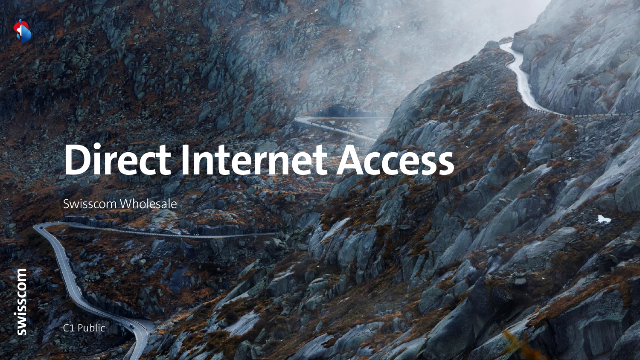# **DirectInternet Access**

Swisscom Wholesale



C1 Public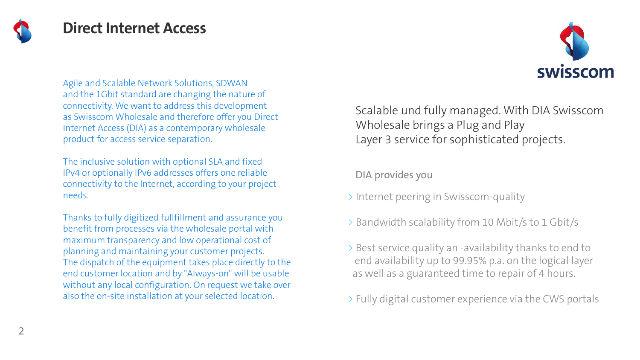

#### **Direct Internet Access**



Agile and Scalable Network Solutions, SDWAN and the 1Gbit standard are changing the nature of connectivity. We want to address this development as Swisscom Wholesale and therefore offer you Direct Internet Access (DIA) as a contemporary wholesale product for access service separation.

The inclusive solution with optional SLA and fixed IPv4 or optionally IPv6 addresses offers one reliable connectivity to the Internet, according to your project needs.

Thanks to fully digitized fullfillment and assurance you benefit from processes via the wholesale portal with maximum transparency and low operational cost of planning and maintaining your customer projects. The dispatch of the equipment takes place directly to the end customer location and by "Always-on" will be usable without any local configuration. On request we take over also the on-site installation at your selected location.

Scalable und fully managed. With DIA Swisscom Wholesale brings a Plug and Play Layer 3 service for sophisticated projects.

DIA provides you

- > Internet peering in Swisscom-quality
- > Bandwidth scalability from 10 Mbit/s to 1 Gbit/s
- > Best service quality an -availability thanks to end to end availability up to 99.95% p.a. on the logical layer as well as a guaranteed time to repair of 4 hours.

> Fully digital customer experience via the CWS portals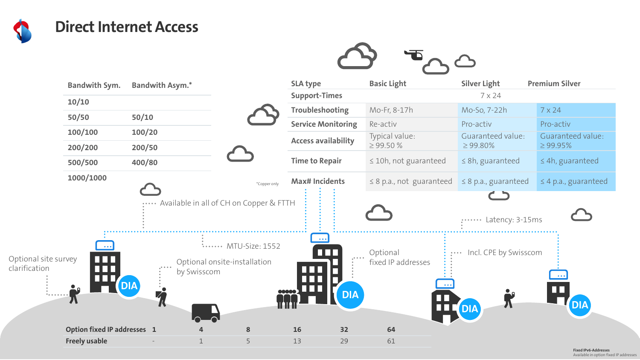

## **Direct Internet Access**



|                                                              | <b>Bandwith Sym.</b>               | <b>Bandwith Asym.*</b>                                               |                                                       |                | <b>SLA type</b>            | <b>Basic Light</b>               | <b>Silver Light</b>                 | <b>Premium Silver</b>              |
|--------------------------------------------------------------|------------------------------------|----------------------------------------------------------------------|-------------------------------------------------------|----------------|----------------------------|----------------------------------|-------------------------------------|------------------------------------|
|                                                              | 10/10                              |                                                                      |                                                       |                | <b>Support-Times</b>       |                                  | 7 x 24                              |                                    |
|                                                              |                                    |                                                                      |                                                       |                | <b>Troubleshooting</b>     | Mo-Fr, 8-17h                     | Mo-So, 7-22h                        | $7 \times 24$                      |
|                                                              | 50/50                              | 50/10                                                                |                                                       |                | <b>Service Monitoring</b>  | Re-activ                         | Pro-activ                           | Pro-activ                          |
|                                                              | 100/100<br>200/200                 | 100/20<br>200/50                                                     |                                                       |                | <b>Access availability</b> | Typical value:<br>$\geq$ 99.50 % | Guaranteed value:<br>$\geq 99.80\%$ | Guaranteed value:<br>$\geq$ 99.95% |
|                                                              | 500/500                            | 400/80                                                               |                                                       |                | <b>Time to Repair</b>      | $\leq$ 10h, not guaranteed       | $\leq$ 8h, guaranteed               | $\leq$ 4h, guaranteed              |
|                                                              | 1000/1000                          |                                                                      |                                                       | *Copper only   | <b>Max# Incidents</b>      | $\leq$ 8 p.a., not guaranteed    | $\leq$ 8 p.a., guaranteed           | $\leq$ 4 p.a., guaranteed          |
|                                                              |                                    | $\alpha \cdot \alpha \cdot \alpha \cdot \alpha$                      | Available in all of CH on Copper & FTTH               |                |                            |                                  | Latency: 3-15ms                     |                                    |
| Optional site survey<br>clarification<br>$0.0.0.0.0.0.0.0.0$ | $\bullet$ $\bullet$ $\bullet$<br>Æ | $\alpha$ .<br><br>and $\alpha$<br><b>DIA</b><br>4,<br>$\blacksquare$ | $\sim$<br>Optional onsite-installation<br>by Swisscom | MTU-Size: 1552 | <b>DIA</b>                 | Optional<br>fixed IP addresses   | Incl. CPE by Swisscom<br><b>DIA</b> | <b>DIA</b>                         |
|                                                              | Option fixed IP addresses 1        |                                                                      |                                                       | 8              | <b>16</b><br>32            | 64                               |                                     |                                    |
|                                                              | <b>Freely usable</b>               |                                                                      |                                                       | 5              | 13<br>29                   | 61                               |                                     |                                    |